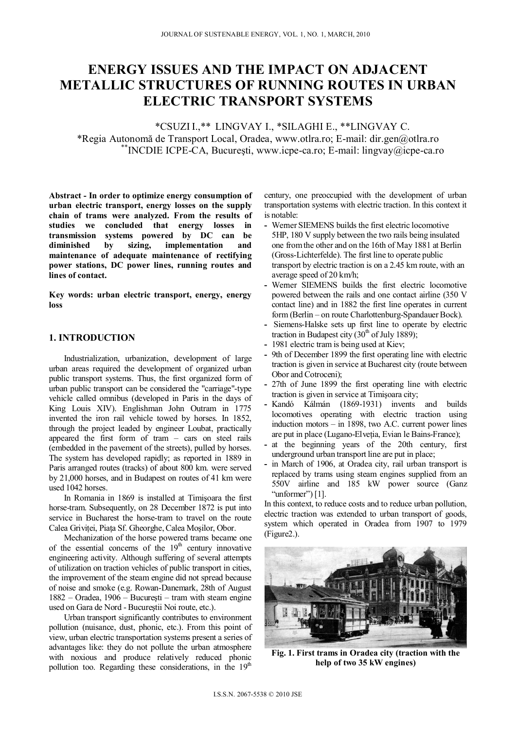# **ENERGY ISSUES AND THE IMPACT ON ADJACENT METALLIC STRUCTURES OF RUNNING ROUTES IN URBAN ELECTRIC TRANSPORT SYSTEMS**

\*CSUZI I.,\*\* LINGVAY I., \*SILAGHI E., \*\*LINGVAY C. \*Regia Autonomă de Transport Local, Oradea, www.otlra.ro; E-mail: dir.gen@otlra.ro \*\*INCDIE ICPE-CA, Bucureşti, www.icpe-ca.ro; E-mail: lingvay@icpe-ca.ro

**Abstract - In order to optimize energy consumption of urban electric transport, energy losses on the supply chain of trams were analyzed. From the results of studies we concluded that energy losses in transmission systems powered by DC can be diminished by sizing, implementation and maintenance of adequate maintenance of rectifying power stations, DC power lines, running routes and lines of contact.** 

**Key words: urban electric transport, energy, energy loss**

## **1. INTRODUCTION**

Industrialization, urbanization, development of large urban areas required the development of organized urban public transport systems. Thus, the first organized form of urban public transport can be considered the "carriage"-type vehicle called omnibus (developed in Paris in the days of King Louis XIV). Englishman John Outram in 1775 invented the iron rail vehicle towed by horses. In 1852, through the project leaded by engineer Loubat, practically appeared the first form of tram – cars on steel rails (embedded in the pavement of the streets), pulled by horses. The system has developed rapidly; as reported in 1889 in Paris arranged routes (tracks) of about 800 km. were served by 21,000 horses, and in Budapest on routes of 41 km were used 1042 horses.

In Romania in 1869 is installed at Timişoara the first horse-tram. Subsequently, on 28 December 1872 is put into service in Bucharest the horse-tram to travel on the route Calea Griviţei, Piaţa Sf. Gheorghe, Calea Moşilor, Obor.

Mechanization of the horse powered trams became one of the essential concerns of the  $19<sup>th</sup>$  century innovative engineering activity. Although suffering of several attempts of utilization on traction vehicles of public transport in cities, the improvement of the steam engine did not spread because of noise and smoke (e.g. Rowan-Danemark, 28th of August 1882 – Oradea, 1906 – Bucureşti – tram with steam engine used on Gara de Nord - Bucureştii Noi route, etc.).

Urban transport significantly contributes to environment pollution (nuisance, dust, phonic, etc.). From this point of view, urban electric transportation systems present a series of advantages like: they do not pollute the urban atmosphere with noxious and produce relatively reduced phonic pollution too. Regarding these considerations, in the  $19<sup>th</sup>$ 

century, one preoccupied with the development of urban transportation systems with electric traction. In this context it is notable:

- **-** Werner SIEMENS builds the first electric locomotive
- 5HP, 180 V supply between the two rails being insulated one from the other and on the 16th of May 1881 at Berlin (Gross-Lichterfelde). The first line to operate public transport by electric traction is on a 2.45 km route, with an average speed of 20 km/h;
- **-** Werner SIEMENS builds the first electric locomotive powered between the rails and one contact airline (350 V contact line) and in 1882 the first line operates in current form (Berlin – on route Charlottenburg-Spandauer Bock).
- **-** Siemens-Halske sets up first line to operate by electric traction in Budapest city  $(30<sup>th</sup>$  of July 1889);
- **-** 1981 electric tram is being used at Kiev;
- **-** 9th of December 1899 the first operating line with electric traction is given in service at Bucharest city (route between Obor and Cotroceni);
- **-** 27th of June 1899 the first operating line with electric traction is given in service at Timişoara city;
- **-** Kandó Kálmán (1869-1931) invents and builds locomotives operating with electric traction using induction motors – in 1898, two A.C. current power lines are put in place (Lugano-Elveţia, Evian le Bains-France);
- **-** at the beginning years of the 20th century, first underground urban transport line are put in place;
- **-** in March of 1906, at Oradea city, rail urban transport is replaced by trams using steam engines supplied from an 550V airline and 185 kW power source (Ganz "unformer")  $[1]$ .

In this context, to reduce costs and to reduce urban pollution, electric traction was extended to urban transport of goods, system which operated in Oradea from 1907 to 1979 (Figure2.).



**Fig. 1. First trams in Oradea city (traction with the help of two 35 kW engines)**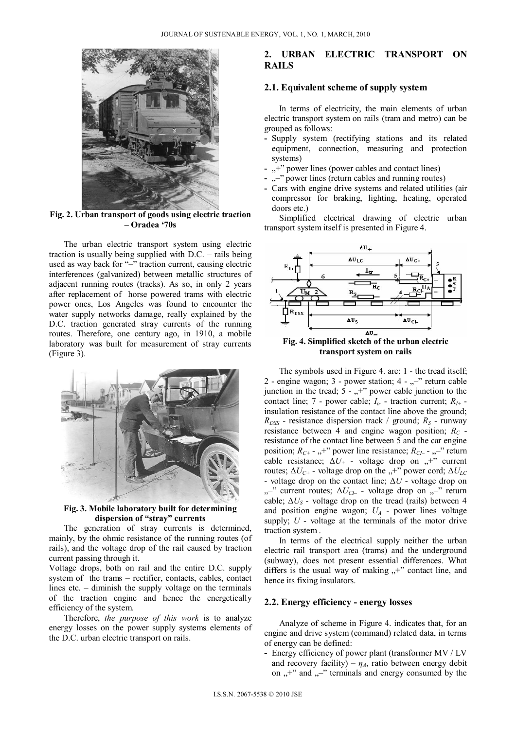

**Fig. 2. Urban transport of goods using electric traction – Oradea '70s** 

The urban electric transport system using electric traction is usually being supplied with D.C. – rails being used as way back for "–" traction current, causing electric interferences (galvanized) between metallic structures of adjacent running routes (tracks). As so, in only 2 years after replacement of horse powered trams with electric power ones, Los Angeles was found to encounter the water supply networks damage, really explained by the D.C. traction generated stray currents of the running routes. Therefore, one century ago, in 1910, a mobile laboratory was built for measurement of stray currents (Figure 3).



**Fig. 3. Mobile laboratory built for determining dispersion of "stray" currents**

The generation of stray currents is determined, mainly, by the ohmic resistance of the running routes (of rails), and the voltage drop of the rail caused by traction current passing through it.

Voltage drops, both on rail and the entire D.C. supply system of the trams – rectifier, contacts, cables, contact lines etc. – diminish the supply voltage on the terminals of the traction engine and hence the energetically efficiency of the system.

Therefore, *the purpose of this work* is to analyze energy losses on the power supply systems elements of the D.C. urban electric transport on rails.

# **2. URBAN ELECTRIC TRANSPORT ON RAILS**

## **2.1. Equivalent scheme of supply system**

In terms of electricity, the main elements of urban electric transport system on rails (tram and metro) can be grouped as follows:

- **-** Supply system (rectifying stations and its related equipment, connection, measuring and protection systems)
- $,$ <sup>+"</sup> power lines (power cables and contact lines)
- ",-" power lines (return cables and running routes)
- **-** Cars with engine drive systems and related utilities (air compressor for braking, lighting, heating, operated doors etc.)

Simplified electrical drawing of electric urban transport system itself is presented in Figure 4.



**Fig. 4. Simplified sketch of the urban electric transport system on rails**

The symbols used in Figure 4. are: 1 - the tread itself; 2 - engine wagon; 3 - power station;  $4 - (-1)$  return cable junction in the tread;  $5 - , +$ " power cable junction to the contact line; 7 - power cable;  $I_{tr}$  - traction current;  $R_{I+}$  insulation resistance of the contact line above the ground;  $R_{DSS}$  - resistance dispersion track / ground;  $R_S$  - runway resistance between 4 and engine wagon position;  $R_C$  resistance of the contact line between 5 and the car engine position;  $R_{C^+}$  -  $\ldots$ <sup>+"</sup> power line resistance;  $R_{C}$  -  $\ldots$ <sup>-"</sup> return cable resistance;  $\Delta U_+$  - voltage drop on  $,$ +" current routes;  $\Delta U_{C+}$  - voltage drop on the "<sup>+</sup>" power cord;  $\Delta U_{LC}$ - voltage drop on the contact line;  $\Delta U$  - voltage drop on ,,-" current routes;  $\Delta U_{\text{CL}}$  - voltage drop on ,,-" return cable;  $\Delta U_s$  - voltage drop on the tread (rails) between 4 and position engine wagon;  $U_A$  - power lines voltage supply;  $U$  - voltage at the terminals of the motor drive traction system .

In terms of the electrical supply neither the urban electric rail transport area (trams) and the underground (subway), does not present essential differences. What differs is the usual way of making  $, +$ " contact line, and hence its fixing insulators.

# **2.2. Energy efficiency - energy losses**

Analyze of scheme in Figure 4. indicates that, for an engine and drive system (command) related data, in terms of energy can be defined:

**-** Energy efficiency of power plant (transformer MV / LV and recovery facility) –  $\eta_A$ , ratio between energy debit on  $,$ +" and  $,$ -" terminals and energy consumed by the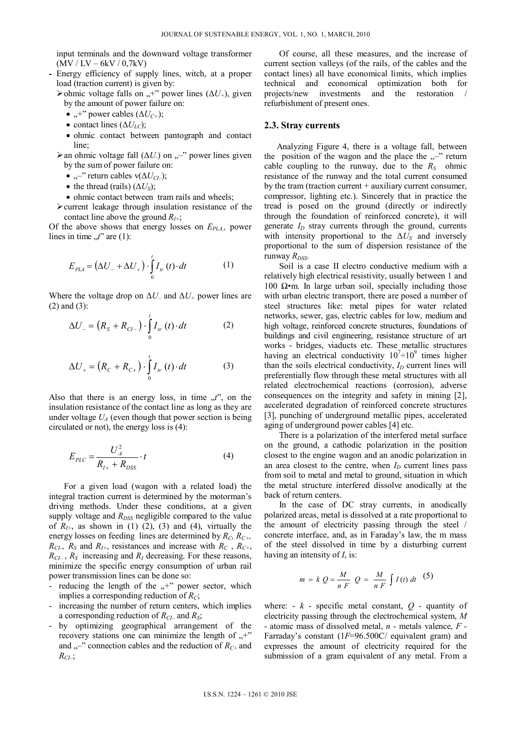input terminals and the downward voltage transformer (MV / LV – 6kV / 0,7kV)

**-** Energy efficiency of supply lines, witch, at a proper load (traction current) is given by:

 $\triangleright$  ohmic voltage falls on  $\cdot$ <sup>+"</sup> power lines ( $\Delta U_+$ ), given by the amount of power failure on:

- $,$ +" power cables ( $\Delta U_{C+}$ );
- contact lines  $(\Delta U_{LC})$ ;
- ohmic contact between pantograph and contact line;
- $\triangleright$  an ohmic voltage fall ( $\Delta U$ ) on  $,$ -" power lines given by the sum of power failure on:
	- $\ldots$ <sup>"</sup> return cables v( $\Delta U_{CI-}$ );
	- the thread (rails)  $(\Delta U_s)$ ;
	- ohmic contact between tram rails and wheels:
- $\triangleright$  current leakage through insulation resistance of the contact line above the ground  $R_{I+}$ ;

Of the above shows that energy losses on  $E_{PLA}$ , power lines in time  $,t$ " are  $(1)$ :

$$
E_{PLA} = (\Delta U_- + \Delta U_+) \cdot \int_0^t I_{tr}(t) \cdot dt \tag{1}
$$

Where the voltage drop on  $\Delta U_{-}$  and  $\Delta U_{+}$  power lines are (2) and (3):

$$
\Delta U_{-} = \left(R_{S} + R_{Cl_{-}}\right) \cdot \int_{0}^{t} I_{tr}\left(t\right) \cdot dt \tag{2}
$$

$$
\Delta U_{+} = \left(R_{C} + R_{C+}\right) \cdot \int_{0}^{t} I_{tr}\left(t\right) \cdot dt \tag{3}
$$

Also that there is an energy loss, in time  $f''$ , on the insulation resistance of the contact line as long as they are under voltage  $U_A$  (even though that power section is being circulated or not), the energy loss is (4):

$$
E_{PLC} = \frac{U_A^2}{R_{I+} + R_{DSS}} \cdot t
$$
 (4)

For a given load (wagon with a related load) the integral traction current is determined by the motorman's driving methods. Under these conditions, at a given supply voltage and  $R_{DSS}$  negligible compared to the value of  $R_{I+}$ , as shown in (1) (2), (3) and (4), virtually the energy losses on feeding lines are determined by  $R_C$ ,  $R_{C+}$ ,  $R_{C1}$ ,  $R_S$  and  $R_{I+}$ , resistances and increase with  $R_C$ ,  $R_{C+}$ ,  $R_{CL}$ ,  $R_S$  increasing and  $R_I$  decreasing. For these reasons, minimize the specific energy consumption of urban rail power transmission lines can be done so:

- reducing the length of the  $,$ +" power sector, which implies a corresponding reduction of *RC*;
- increasing the number of return centers, which implies a corresponding reduction of *RCI–* and *RS*;
- by optimizing geographical arrangement of the recovery stations one can minimize the length of  $,$ +" and  $\ldots$ <sup>-</sup> connection cables and the reduction of  $R_{C+}$  and *RCI–*;

Of course, all these measures, and the increase of current section valleys (of the rails, of the cables and the contact lines) all have economical limits, which implies technical and economical optimization both for projects/new investments and the restoration / refurbishment of present ones.

#### **2.3. Stray currents**

Analyzing Figure 4, there is a voltage fall, between the position of the wagon and the place the  $, -$ " return cable coupling to the runway, due to the  $R<sub>S</sub>$  ohmic resistance of the runway and the total current consumed by the tram (traction current  $+$  auxiliary current consumer, compressor, lighting etc.). Sincerely that in practice the tread is posed on the ground (directly or indirectly through the foundation of reinforced concrete), it will generate  $I<sub>D</sub>$  stray currents through the ground, currents with intensity proportional to the  $\Delta U_s$  and inversely proportional to the sum of dispersion resistance of the runway *R<sub>DSS</sub>*.

Soil is a case II electro conductive medium with a relatively high electrical resistivity, usually between 1 and 100  $\Omega$ •m. In large urban soil, specially including those with urban electric transport, there are posed a number of steel structures like: metal pipes for water related networks, sewer, gas, electric cables for low, medium and high voltage, reinforced concrete structures, foundations of buildings and civil engineering, resistance structure of art works - bridges, viaducts etc. These metallic structures having an electrical conductivity  $10^{7} \div 10^{9}$  times higher than the soils electrical conductivity,  $I_D$  current lines will preferentially flow through these metal structures with all related electrochemical reactions (corrosion), adverse consequences on the integrity and safety in mining [2], accelerated degradation of reinforced concrete structures [3], punching of underground metallic pipes, accelerated aging of underground power cables [4] etc.

There is a polarization of the interfered metal surface on the ground, a cathodic polarization in the position closest to the engine wagon and an anodic polarization in an area closest to the centre, when  $I_D$  current lines pass from soil to metal and metal to ground, situation in which the metal structure interfered dissolve anodically at the back of return centers.

In the case of DC stray currents, in anodically polarized areas, metal is dissolved at a rate proportional to the amount of electricity passing through the steel / concrete interface, and, as in Faraday's law, the m mass of the steel dissolved in time by a disturbing current having an intensity of *I*, is:

$$
m = k Q = \frac{M}{n F} Q = \frac{M}{n F} \int I(t) dt
$$
 (5)

where:  $-k$  - specific metal constant,  $Q$  - quantity of electricity passing through the electrochemical system, *M* - atomic mass of dissolved metal, *n* - metals valence, *F* - Farraday's constant (1*F*=96.500C/ equivalent gram) and expresses the amount of electricity required for the submission of a gram equivalent of any metal. From a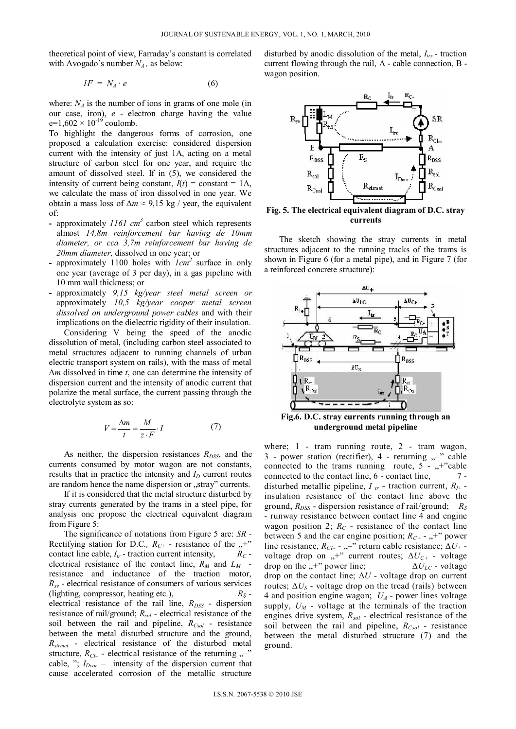theoretical point of view, Farraday's constant is correlated with Avogado's number  $N_A$ , as below:

$$
IF = N_A \cdot e \tag{6}
$$

where:  $N_A$  is the number of ions in grams of one mole (in our case, iron), *e* - electron charge having the value  $e=1,602 \times 10^{-19}$  coulomb.

To highlight the dangerous forms of corrosion, one proposed a calculation exercise: considered dispersion current with the intensity of just 1A, acting on a metal structure of carbon steel for one year, and require the amount of dissolved steel. If in (5), we considered the intensity of current being constant,  $I(t)$  = constant = 1A, we calculate the mass of iron dissolved in one year. We obtain a mass loss of  $\Delta m \approx 9.15$  kg / year, the equivalent of:

- approximately 1161 cm<sup>3</sup> carbon steel which represents almost *14,8m reinforcement bar having de 10mm diameter, or cca 3,7m reinforcement bar having de 20mm diameter,* dissolved in one year; or
- approximately 1100 holes with  $1cm^2$  surface in only one year (average of 3 per day), in a gas pipeline with 10 mm wall thickness; or
- **-** approximately *9,15 kg/year steel metal screen or*  approximately *10,5 kg/year cooper metal screen dissolved on underground power cables* and with their implications on the dielectric rigidity of their insulation.

Considering V being the speed of the anodic dissolution of metal, (including carbon steel associated to metal structures adjacent to running channels of urban electric transport system on rails), with the mass of metal Δ*m* dissolved in time *t*, one can determine the intensity of dispersion current and the intensity of anodic current that polarize the metal surface, the current passing through the electrolyte system as so:

$$
V = \frac{\Delta m}{t} = \frac{M}{z \cdot F} \cdot I \tag{7}
$$

As neither, the dispersion resistances  $R_{DSS}$ , and the currents consumed by motor wagon are not constants, results that in practice the intensity and  $I_D$  current routes are random hence the name dispersion or "stray" currents.

If it is considered that the metal structure disturbed by stray currents generated by the trams in a steel pipe, for analysis one propose the electrical equivalent diagram from Figure 5:

The significance of notations from Figure 5 are: *SR -*  Rectifying station for D.C.,  $R_{C+}$  - resistance of the "+" contact line cable,  $I_{tr}$  - traction current intensity,  $R_C$  electrical resistance of the contact line,  $R_M$  and  $L_M$  resistance and inductance of the traction motor,  $R_{sv}$  - electrical resistance of consumers of various services (lighting, compressor, heating etc.),  $R_S - R_S$ electrical resistance of the rail line,  $R_{DSS}$  - dispersion resistance of rail/ground;  $R_{sol}$  - electrical resistance of the soil between the rail and pipeline,  $R_{Csol}$  - resistance between the metal disturbed structure and the ground, *Rstrmet* - electrical resistance of the disturbed metal structure,  $R_{CL}$  - electrical resistance of the returning  $,$ —" cable, ";  $I_{Dcor}$  – intensity of the dispersion current that cause accelerated corrosion of the metallic structure disturbed by anodic dissolution of the metal,  $I_{trs}$  - traction current flowing through the rail, A - cable connection, B wagon position.



**Fig. 5. The electrical equivalent diagram of D.C. stray currents** 

The sketch showing the stray currents in metal structures adjacent to the running tracks of the trams is shown in Figure 6 (for a metal pipe), and in Figure 7 (for a reinforced concrete structure):



**Fig.6. D.C. stray currents running through an underground metal pipeline** 

where; 1 - tram running route, 2 - tram wagon, 3 - power station (rectifier), 4 - returning  $, -$ " cable connected to the trams running route,  $5 - 1$ , +"cable connected to the contact line,  $6$  - contact line,  $7$ disturbed metallic pipeline,  $I_{tr}$  - traction current,  $R_{I+}$  insulation resistance of the contact line above the ground,  $R_{DSS}$  - dispersion resistance of rail/ground;  $R_S$ - runway resistance between contact line 4 and engine wagon position 2;  $R_C$  - resistance of the contact line between 5 and the car engine position;  $R_{C^+}$  -  $,$ +" power line resistance,  $R_{CL}$  -  $\ldots$ <sup>-</sup>" return cable resistance;  $\Delta U_+$  voltage drop on  $,$ +" current routes;  $\Delta U_{C+}$  - voltage drop on the  $,$ +" power line;  $\Delta U_{LC}$  - voltage drop on the contact line;  $\Delta U$  - voltage drop on current routes;  $\Delta U_s$  - voltage drop on the tread (rails) between 4 and position engine wagon;  $U_A$  - power lines voltage supply,  $U_M$  - voltage at the terminals of the traction engines drive system, *Rsol* - electrical resistance of the soil between the rail and pipeline,  $R_{Csol}$  - resistance between the metal disturbed structure (7) and the ground.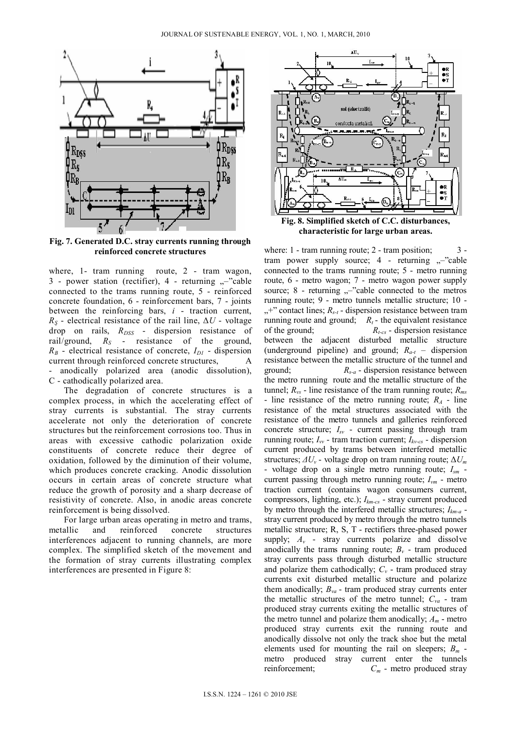

**Fig. 7. Generated D.C. stray currents running through reinforced concrete structures** 

where, 1- tram running route, 2 - tram wagon,  $3$  - power station (rectifier),  $4$  - returning  $\sim$  cable connected to the trams running route, 5 - reinforced concrete foundation, 6 - reinforcement bars, 7 - joints between the reinforcing bars, *i* - traction current,  $R<sub>S</sub>$  - electrical resistance of the rail line,  $\Delta U$  - voltage drop on rails,  $R_{DSS}$  - dispersion resistance of rail/ground,  $R_S$  - resistance of the ground,  $R_B$  - electrical resistance of concrete,  $I_{DI}$  - dispersion current through reinforced concrete structures, A - anodically polarized area (anodic dissolution), C - cathodically polarized area.

The degradation of concrete structures is a complex process, in which the accelerating effect of stray currents is substantial. The stray currents accelerate not only the deterioration of concrete structures but the reinforcement corrosions too. Thus in areas with excessive cathodic polarization oxide constituents of concrete reduce their degree of oxidation, followed by the diminution of their volume, which produces concrete cracking. Anodic dissolution occurs in certain areas of concrete structure what reduce the growth of porosity and a sharp decrease of resistivity of concrete. Also, in anodic areas concrete reinforcement is being dissolved.

For large urban areas operating in metro and trams, metallic and reinforced concrete structures interferences adjacent to running channels, are more complex. The simplified sketch of the movement and the formation of stray currents illustrating complex interferences are presented in Figure 8:



**Fig. 8. Simplified sketch of C.C. disturbances, characteristic for large urban areas.**

where:  $1$  - tram running route;  $2$  - tram position; tram power supply source;  $4$  - returning  $\rightarrow$  - returning connected to the trams running route; 5 - metro running route, 6 - metro wagon; 7 - metro wagon power supply source;  $8$  - returning  $,$ -"cable connected to the metros running route; 9 - metro tunnels metallic structure; 10 -  $,$ +" contact lines;  $R_{s-t}$  - dispersion resistance between tram running route and ground;  $R_t$  - the equivalent resistance of the ground; *Rt-cs* - dispersion resistance between the adjacent disturbed metallic structure (underground pipeline) and ground; *Ra-t* – dispersion resistance between the metallic structure of the tunnel and ground; *Rs-a* - dispersion resistance between the metro running route and the metallic structure of the tunnel;  $R_{vs}$  - line resistance of the tram running route;  $R_{ms}$ - line resistance of the metro running route; *RA* - line resistance of the metal structures associated with the resistance of the metro tunnels and galleries reinforced concrete structure; *Isv* - current passing through tram running route;  $I_{vv}$  - tram traction current;  $I_{kv-cs}$  - dispersion current produced by trams between interfered metallic structures; *ΔUv* - voltage drop on tram running route; Δ*Um*  - voltage drop on a single metro running route; *Ism* current passing through metro running route; *Ivm* - metro traction current (contains wagon consumers current, compressors, lighting, etc.); *Ikm-cs* - stray current produced by metro through the interfered metallic structures; *Ikm-a* stray current produced by metro through the metro tunnels metallic structure; R, S, T - rectifiers three-phased power supply;  $A_v$  - stray currents polarize and dissolve anodically the trams running route;  $B<sub>v</sub>$  - tram produced stray currents pass through disturbed metallic structure and polarize them cathodically;  $C_v$  - tram produced stray currents exit disturbed metallic structure and polarize them anodically;  $B_{va}$  - tram produced stray currents enter the metallic structures of the metro tunnel;  $C_{va}$  - tram produced stray currents exiting the metallic structures of the metro tunnel and polarize them anodically;  $A_m$  - metro produced stray currents exit the running route and anodically dissolve not only the track shoe but the metal elements used for mounting the rail on sleepers;  $B_m$  metro produced stray current enter the tunnels reinforcement;  $C_m$  - metro produced stray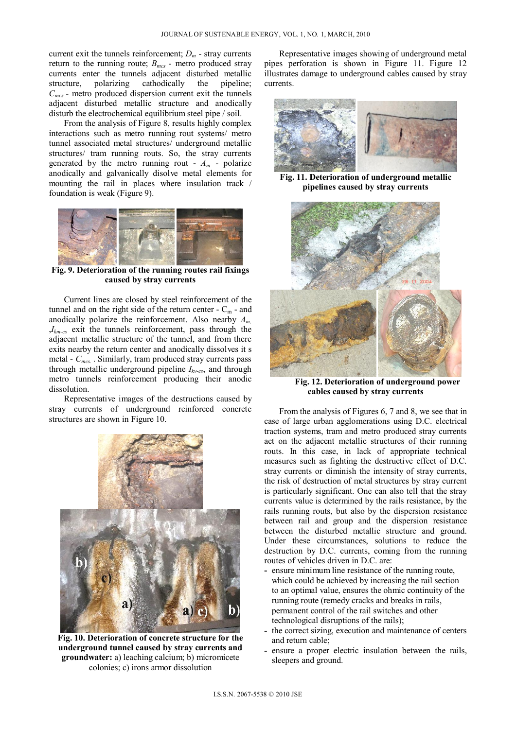current exit the tunnels reinforcement;  $D_m$  - stray currents return to the running route;  $B_{mcs}$  - metro produced stray currents enter the tunnels adjacent disturbed metallic structure, polarizing cathodically the pipeline: structure, polarizing cathodically the *Cmcs* - metro produced dispersion current exit the tunnels adjacent disturbed metallic structure and anodically disturb the electrochemical equilibrium steel pipe / soil.

From the analysis of Figure 8, results highly complex interactions such as metro running rout systems/ metro tunnel associated metal structures/ underground metallic structures/ tram running routs. So, the stray currents generated by the metro running rout -  $A_m$  - polarize anodically and galvanically disolve metal elements for mounting the rail in places where insulation track / foundation is weak (Figure 9).



**Fig. 9. Deterioration of the running routes rail fixings caused by stray currents**

Current lines are closed by steel reinforcement of the tunnel and on the right side of the return center  $-C<sub>m</sub>$  - and anodically polarize the reinforcement. Also nearby *Am,*  ,*Ikm-cs* exit the tunnels reinforcement, pass through the adjacent metallic structure of the tunnel, and from there exits nearby the return center and anodically dissolves it s metal - *Cmcs.* . Similarly, tram produced stray currents pass through metallic underground pipeline *Ikv-cs*, and through metro tunnels reinforcement producing their anodic dissolution.

Representative images of the destructions caused by stray currents of underground reinforced concrete structures are shown in Figure 10.



**Fig. 10. Deterioration of concrete structure for the underground tunnel caused by stray currents and groundwater:** a) leaching calcium; b) micromicete colonies; c) irons armor dissolution

Representative images showing of underground metal pipes perforation is shown in Figure 11. Figure 12 illustrates damage to underground cables caused by stray currents.



**Fig. 11. Deterioration of underground metallic pipelines caused by stray currents** 



**Fig. 12. Deterioration of underground power cables caused by stray currents** 

From the analysis of Figures 6, 7 and 8, we see that in case of large urban agglomerations using D.C. electrical traction systems, tram and metro produced stray currents act on the adjacent metallic structures of their running routs. In this case, in lack of appropriate technical measures such as fighting the destructive effect of D.C. stray currents or diminish the intensity of stray currents, the risk of destruction of metal structures by stray current is particularly significant. One can also tell that the stray currents value is determined by the rails resistance, by the rails running routs, but also by the dispersion resistance between rail and group and the dispersion resistance between the disturbed metallic structure and ground. Under these circumstances, solutions to reduce the destruction by D.C. currents, coming from the running routes of vehicles driven in D.C. are:

- **-** ensure minimum line resistance of the running route, which could be achieved by increasing the rail section to an optimal value, ensures the ohmic continuity of the running route (remedy cracks and breaks in rails, permanent control of the rail switches and other technological disruptions of the rails);
- **-** the correct sizing, execution and maintenance of centers and return cable;
- **-** ensure a proper electric insulation between the rails, sleepers and ground.